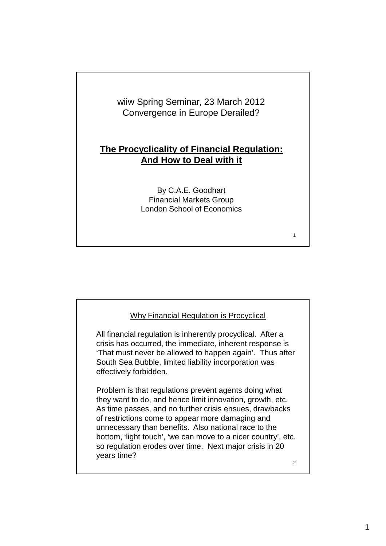

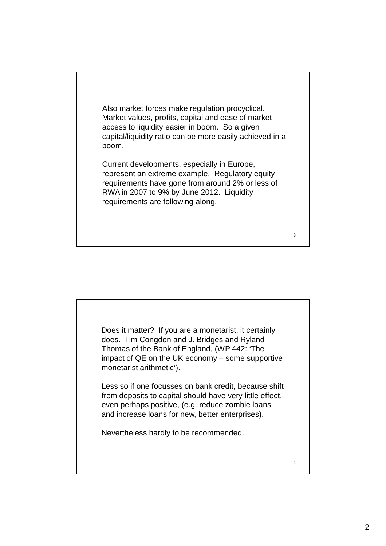

3

4

Does it matter? If you are a monetarist, it certainly does. Tim Congdon and J. Bridges and Ryland Thomas of the Bank of England, (WP 442: 'The impact of QE on the UK economy – some supportive monetarist arithmetic').

Less so if one focusses on bank credit, because shift from deposits to capital should have very little effect, even perhaps positive, (e.g. reduce zombie loans and increase loans for new, better enterprises).

Nevertheless hardly to be recommended.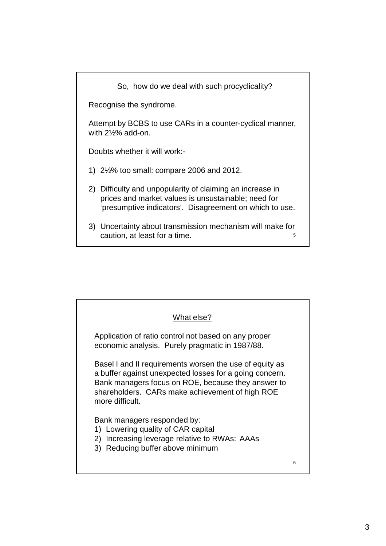## 5 So, how do we deal with such procyclicality? Recognise the syndrome. Attempt by BCBS to use CARs in a counter-cyclical manner, with 2½% add-on. Doubts whether it will work:- 1) 2½% too small: compare 2006 and 2012. 2) Difficulty and unpopularity of claiming an increase in prices and market values is unsustainable; need for 'presumptive indicators'. Disagreement on which to use. 3) Uncertainty about transmission mechanism will make for caution, at least for a time.